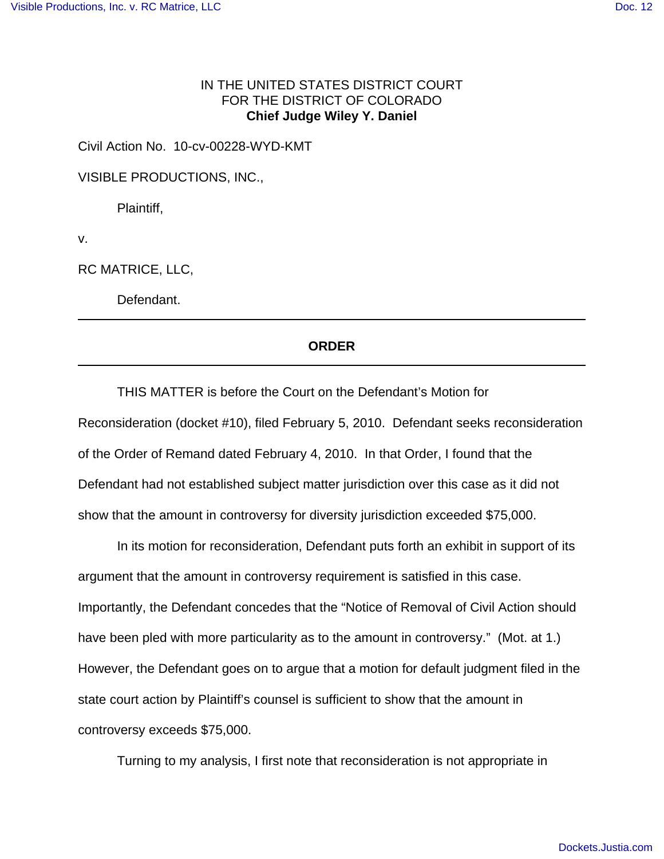## IN THE UNITED STATES DISTRICT COURT FOR THE DISTRICT OF COLORADO **Chief Judge Wiley Y. Daniel**

Civil Action No. 10-cv-00228-WYD-KMT

VISIBLE PRODUCTIONS, INC.,

Plaintiff,

v.

RC MATRICE, LLC,

Defendant.

## **ORDER**

THIS MATTER is before the Court on the Defendant's Motion for Reconsideration (docket #10), filed February 5, 2010. Defendant seeks reconsideration of the Order of Remand dated February 4, 2010. In that Order, I found that the Defendant had not established subject matter jurisdiction over this case as it did not show that the amount in controversy for diversity jurisdiction exceeded \$75,000.

In its motion for reconsideration, Defendant puts forth an exhibit in support of its argument that the amount in controversy requirement is satisfied in this case. Importantly, the Defendant concedes that the "Notice of Removal of Civil Action should have been pled with more particularity as to the amount in controversy." (Mot. at 1.) However, the Defendant goes on to argue that a motion for default judgment filed in the state court action by Plaintiff's counsel is sufficient to show that the amount in controversy exceeds \$75,000.

Turning to my analysis, I first note that reconsideration is not appropriate in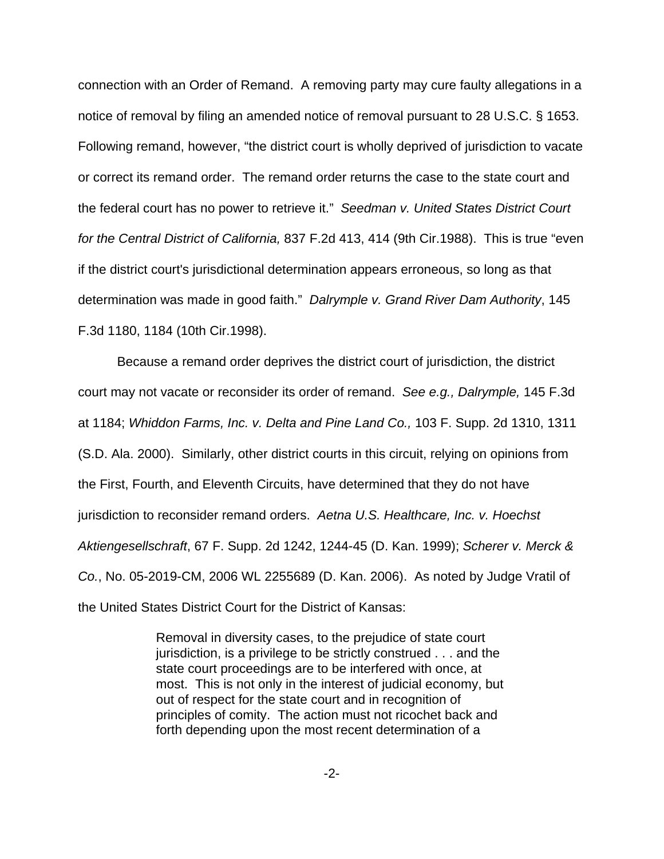connection with an Order of Remand. A removing party may cure faulty allegations in a notice of removal by filing an amended notice of removal pursuant to 28 U.S.C. § 1653. Following remand, however, "the district court is wholly deprived of jurisdiction to vacate or correct its remand order. The remand order returns the case to the state court and the federal court has no power to retrieve it." Seedman v. United States District Court for the Central District of California, 837 F.2d 413, 414 (9th Cir.1988). This is true "even if the district court's jurisdictional determination appears erroneous, so long as that determination was made in good faith." Dalrymple v. Grand River Dam Authority, 145 F.3d 1180, 1184 (10th Cir.1998).

Because a remand order deprives the district court of jurisdiction, the district court may not vacate or reconsider its order of remand. See e.g., Dalrymple, 145 F.3d at 1184; Whiddon Farms, Inc. v. Delta and Pine Land Co., 103 F. Supp. 2d 1310, 1311 (S.D. Ala. 2000). Similarly, other district courts in this circuit, relying on opinions from the First, Fourth, and Eleventh Circuits, have determined that they do not have jurisdiction to reconsider remand orders. Aetna U.S. Healthcare, Inc. v. Hoechst Aktiengesellschraft, 67 F. Supp. 2d 1242, 1244-45 (D. Kan. 1999); Scherer v. Merck & Co., No. 05-2019-CM, 2006 WL 2255689 (D. Kan. 2006). As noted by Judge Vratil of the United States District Court for the District of Kansas:

> Removal in diversity cases, to the prejudice of state court jurisdiction, is a privilege to be strictly construed . . . and the state court proceedings are to be interfered with once, at most. This is not only in the interest of judicial economy, but out of respect for the state court and in recognition of principles of comity. The action must not ricochet back and forth depending upon the most recent determination of a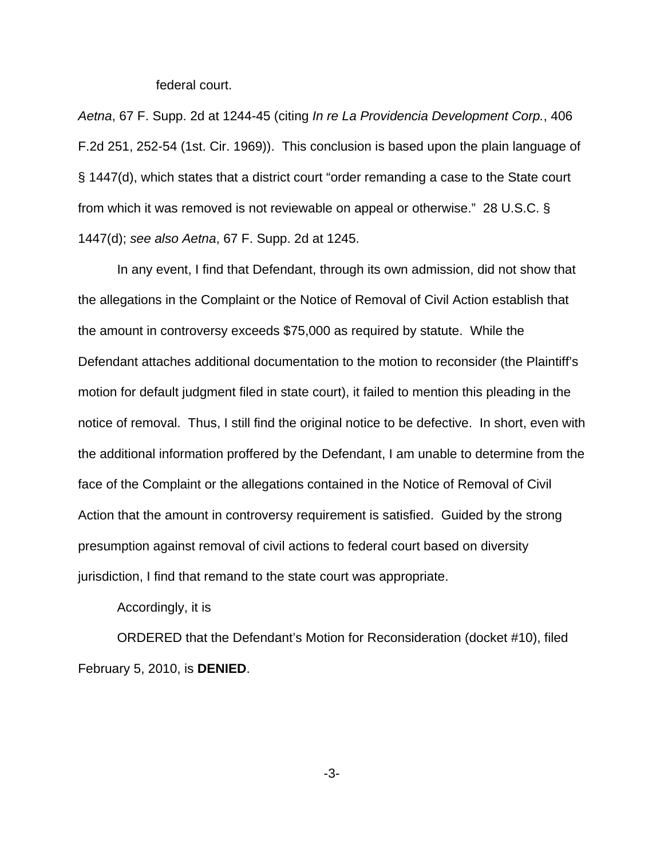federal court.

Aetna, 67 F. Supp. 2d at 1244-45 (citing In re La Providencia Development Corp., 406 F.2d 251, 252-54 (1st. Cir. 1969)). This conclusion is based upon the plain language of § 1447(d), which states that a district court "order remanding a case to the State court from which it was removed is not reviewable on appeal or otherwise." 28 U.S.C. § 1447(d); see also Aetna, 67 F. Supp. 2d at 1245.

In any event, I find that Defendant, through its own admission, did not show that the allegations in the Complaint or the Notice of Removal of Civil Action establish that the amount in controversy exceeds \$75,000 as required by statute. While the Defendant attaches additional documentation to the motion to reconsider (the Plaintiff's motion for default judgment filed in state court), it failed to mention this pleading in the notice of removal. Thus, I still find the original notice to be defective. In short, even with the additional information proffered by the Defendant, I am unable to determine from the face of the Complaint or the allegations contained in the Notice of Removal of Civil Action that the amount in controversy requirement is satisfied. Guided by the strong presumption against removal of civil actions to federal court based on diversity jurisdiction, I find that remand to the state court was appropriate.

Accordingly, it is

ORDERED that the Defendant's Motion for Reconsideration (docket #10), filed February 5, 2010, is **DENIED**.

-3-